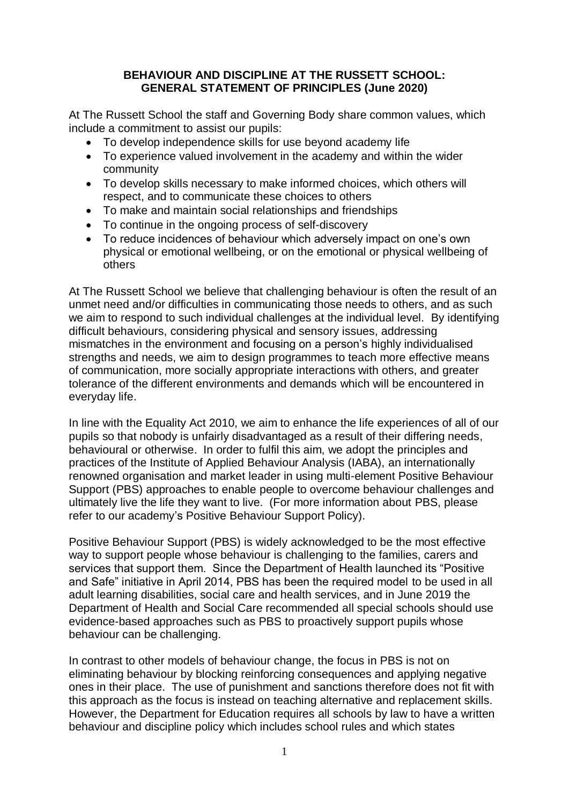## **BEHAVIOUR AND DISCIPLINE AT THE RUSSETT SCHOOL: GENERAL STATEMENT OF PRINCIPLES (June 2020)**

At The Russett School the staff and Governing Body share common values, which include a commitment to assist our pupils:

- To develop independence skills for use beyond academy life
- To experience valued involvement in the academy and within the wider community
- To develop skills necessary to make informed choices, which others will respect, and to communicate these choices to others
- To make and maintain social relationships and friendships
- To continue in the ongoing process of self-discovery
- To reduce incidences of behaviour which adversely impact on one's own physical or emotional wellbeing, or on the emotional or physical wellbeing of others

At The Russett School we believe that challenging behaviour is often the result of an unmet need and/or difficulties in communicating those needs to others, and as such we aim to respond to such individual challenges at the individual level. By identifying difficult behaviours, considering physical and sensory issues, addressing mismatches in the environment and focusing on a person's highly individualised strengths and needs, we aim to design programmes to teach more effective means of communication, more socially appropriate interactions with others, and greater tolerance of the different environments and demands which will be encountered in everyday life.

In line with the Equality Act 2010, we aim to enhance the life experiences of all of our pupils so that nobody is unfairly disadvantaged as a result of their differing needs, behavioural or otherwise. In order to fulfil this aim, we adopt the principles and practices of the Institute of Applied Behaviour Analysis (IABA), an internationally renowned organisation and market leader in using multi-element Positive Behaviour Support (PBS) approaches to enable people to overcome behaviour challenges and ultimately live the life they want to live. (For more information about PBS, please refer to our academy's Positive Behaviour Support Policy).

Positive Behaviour Support (PBS) is widely acknowledged to be the most effective way to support people whose behaviour is challenging to the families, carers and services that support them. Since the Department of Health launched its "Positive and Safe" initiative in April 2014, PBS has been the required model to be used in all adult learning disabilities, social care and health services, and in June 2019 the Department of Health and Social Care recommended all special schools should use evidence-based approaches such as PBS to proactively support pupils whose behaviour can be challenging.

In contrast to other models of behaviour change, the focus in PBS is not on eliminating behaviour by blocking reinforcing consequences and applying negative ones in their place. The use of punishment and sanctions therefore does not fit with this approach as the focus is instead on teaching alternative and replacement skills. However, the Department for Education requires all schools by law to have a written behaviour and discipline policy which includes school rules and which states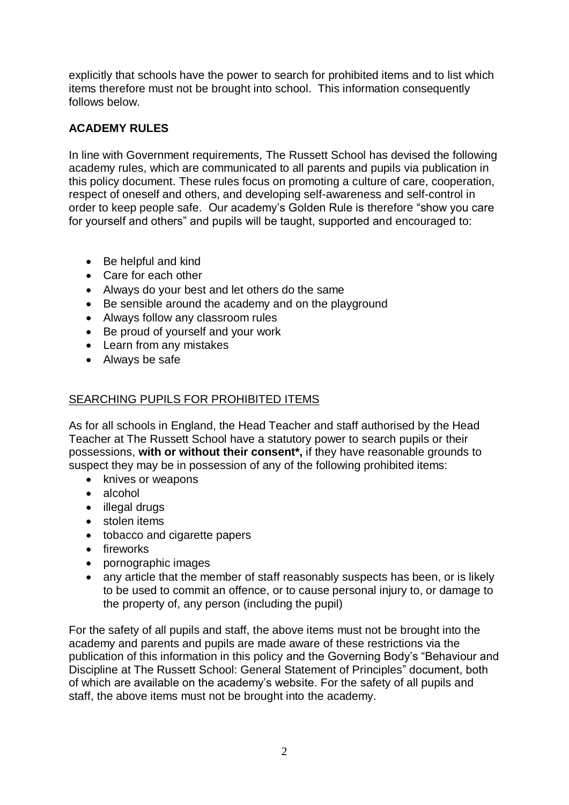explicitly that schools have the power to search for prohibited items and to list which items therefore must not be brought into school. This information consequently follows below.

## **ACADEMY RULES**

In line with Government requirements, The Russett School has devised the following academy rules, which are communicated to all parents and pupils via publication in this policy document. These rules focus on promoting a culture of care, cooperation, respect of oneself and others, and developing self-awareness and self-control in order to keep people safe. Our academy's Golden Rule is therefore "show you care for yourself and others" and pupils will be taught, supported and encouraged to:

- Be helpful and kind
- Care for each other
- Always do your best and let others do the same
- Be sensible around the academy and on the playground
- Always follow any classroom rules
- Be proud of yourself and your work
- Learn from any mistakes
- Always be safe

## SEARCHING PUPILS FOR PROHIBITED ITEMS

As for all schools in England, the Head Teacher and staff authorised by the Head Teacher at The Russett School have a statutory power to search pupils or their possessions, **with or without their consent\*,** if they have reasonable grounds to suspect they may be in possession of any of the following prohibited items:

- knives or weapons
- alcohol
- illegal drugs
- stolen items
- tobacco and cigarette papers
- fireworks
- pornographic images
- any article that the member of staff reasonably suspects has been, or is likely to be used to commit an offence, or to cause personal injury to, or damage to the property of, any person (including the pupil)

For the safety of all pupils and staff, the above items must not be brought into the academy and parents and pupils are made aware of these restrictions via the publication of this information in this policy and the Governing Body's "Behaviour and Discipline at The Russett School: General Statement of Principles" document, both of which are available on the academy's website. For the safety of all pupils and staff, the above items must not be brought into the academy.